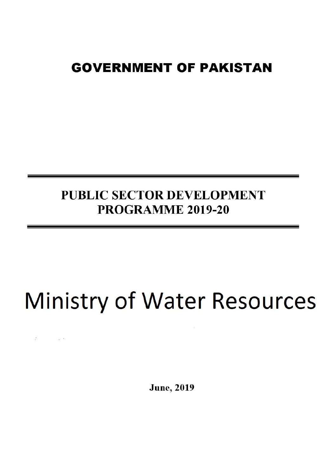## **GOVERNMENT OF PAKISTAN**

## PUBLIC SECTOR DEVELOPMENT PROGRAMME 2019-20

# **Ministry of Water Resources**

 $\frac{32}{16}$  ,  $\frac{32}{16}$  ,  $\frac{33}{16}$ 

**June**, 2019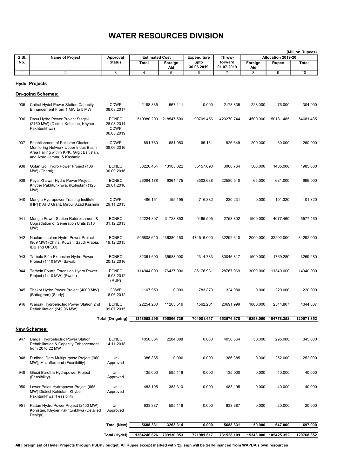|              |                                                                                                                                                     |                                                         |                                                  |            |                            |                   |           | (Million Rupees)            |              |
|--------------|-----------------------------------------------------------------------------------------------------------------------------------------------------|---------------------------------------------------------|--------------------------------------------------|------------|----------------------------|-------------------|-----------|-----------------------------|--------------|
| G.SI.<br>No. | Name of Project                                                                                                                                     | Approval<br><b>Status</b>                               | <b>Estimated Cost</b><br><b>Total</b><br>Foreign |            | <b>Expenditure</b><br>upto | Throw-<br>forward | Foreign   | Allocation 2019-20<br>Rupee | <b>Total</b> |
|              |                                                                                                                                                     |                                                         |                                                  | Aid        | 30.06.2019                 | 01.07.2019        | Aid       |                             |              |
| 1            | $\overline{2}$                                                                                                                                      | $\overline{3}$                                          | $\overline{4}$                                   | 5          | 6                          | $\overline{7}$    | 8         | 9                           | 10           |
|              | <b>Hydel Projects</b><br>On-going Schemes:                                                                                                          |                                                         |                                                  |            |                            |                   |           |                             |              |
| 935          | Chitral Hydel Power Station Capacity<br>Enhancement From 1 MW to 5 MW                                                                               | <b>CDWP</b><br>08.03.2017                               | 2188.835                                         | 567.111    | 10.000                     | 2178.835          | 228.000   | 76.000                      | 304.000      |
| 936          | Dasu Hydro Power Project Stage-I<br>(2160 MW) (District Kohistan, Khyber<br>Pakhtunkhwa)                                                            | <b>ECNEC</b><br>28.03.2014<br><b>CDWP</b><br>06.05.2019 | 510980.200                                       | 218547.500 | 90709.456                  | 420270.744        | 4500.000  | 50181.485                   | 54681.485    |
| 937          | Establishment of Pakistan Glacier<br>Monitoring Network Upper Indus Basin<br>Area Falling within KPK, Gilgit Baltistan,<br>and Azad Jammu & Kashmir | <b>CDWP</b><br>08.06.2016                               | 891.780                                          | 681.050    | 65.131                     | 826.649           | 200.000   | 60.000                      | 260.000      |
| 938          | Golan Gol Hydro Power Project (106<br>MW) (Chitral)                                                                                                 | <b>ECNEC</b><br>30.09.2016                              | 38226.454                                        | 13185.022  | 35157.690                  | 3068.764          | 500.000   | 1485.000                    | 1985.000     |
| 939          | Keyal Khawar Hydro Power Project,<br>Khyber Pakhtunkhwa, (Kohistan) (128<br>MW)                                                                     | <b>ECNEC</b><br>29.01.2016                              | 26084.178                                        | 9364.475   | 3503.638                   | 22580.540         | 65.000    | 631.000                     | 696.000      |
| 940          | Mangla Hydropower Training Institute<br>(HPTI) AFD Grant, Mirpur Azad Kashmir                                                                       | <b>CDWP</b><br>29.11.2013                               | 486.151                                          | 155.195    | 716.382                    | $-230.231$        | 0.000     | 101.320                     | 101.320      |
| 941          | Mangla Power Station Refurbishment &<br>Upgradation of Generation Units (310<br>MW)                                                                 | <b>ECNEC</b><br>31.12.2013                              | 52224.307                                        | 31728.853  | 9465.505                   | 42758.802         | 1500.000  | 4077.460                    | 5577.460     |
| 942          | Neelum Jhelum Hydro Power Project<br>(969 MW) (China, Kuwait, Saudi Arabia,<br>IDB and OPEC)                                                        | <b>ECNEC</b><br>19.12.2015                              | 506808.610                                       | 236380.150 | 474516.000                 | 32292.610         | 2000.000  | 32292.000                   | 34292.000    |
| 943          | Tarbela Fifth Extension Hydro Power<br>Project (1410 MW) Sawabi                                                                                     | <b>ECNEC</b><br>20.12.2016                              | 82361.600                                        | 35988.000  | 2314.783                   | 80046.817         | 1500.000  | 1769.280                    | 3269.280     |
| 944          | Tarbela Fourth Extension Hydro Power<br>Project (1410 MW) (Swabi)                                                                                   | <b>ECNEC</b><br>16.08.2012<br>(RUP)                     | 114944.000                                       | 76437.000  | 86176.931                  | 28767.069         | 3000.000  | 11340.000                   | 14340.000    |
| 945          | Thakot Hydro Power Project (4000 MW)<br>(Battagram) (Study)                                                                                         | <b>CDWP</b><br>18.06.2012                               | 1107.950                                         | 0.000      | 783.870                    | 324.080           | 0.000     | 220.000                     | 220.000      |
| 946          | Warsak Hydroelectric Power Station 2nd<br>Rehabilitation (242.96 MW)                                                                                | <b>ECNEC</b><br>09.07.2015                              | 22254.230                                        | 11283.519  | 1562.231                   | 20691.999         | 1800.000  | 2544.807                    | 4344.807     |
|              |                                                                                                                                                     | Total (On-going):                                       | 1358558.295                                      | 705866.739 | 704981.617                 | 653576.678        | 15293.000 | 104778.352                  | 120071.352   |
|              |                                                                                                                                                     |                                                         |                                                  |            |                            |                   |           |                             |              |
|              | <u>New Schemes:</u>                                                                                                                                 |                                                         |                                                  |            |                            |                   |           |                             |              |
| 947          | Dargai Hydroelectric Power Station<br>Rehabilitation & Capacity Enhancement<br>from 20 to 22 MW                                                     | <b>ECNEC</b><br>14.11.2018                              | 4050.364                                         | 2284.888   | 0.000                      | 4050.364          | 50.000    | 295.000                     | 345.000      |
| 948          | Dudhnal Dam Multipurpose Project (960<br>MW), Muzaffarabad (Feasibility)                                                                            | Un-<br>Approved                                         | 386.385                                          | 0.000      | 0.000                      | 386.385           | 0.000     | 252.000                     | 252.000      |
| 949          | Ghazi Barotha Hydropower Project<br>(Feasibility)                                                                                                   | Un-<br>Approved                                         | 135.000                                          | 595.116    | 0.000                      | 135.000           | 0.000     | 40.000                      | 40.000       |
| 950          | Lower Palas Hydropower Project (665<br>MW) District Kohistan, Khyber<br>Pakhtunkhwa (Feasibility)                                                   | Un-<br>Approved                                         | 483.195                                          | 383.310    | 0.000                      | 483.195           | 0.000     | 40.000                      | 40.000       |
| 951          | Pattan Hydro Power Project (2400 MW)<br>Kohistan, Khyber Pakhtunkhwa (Detailed<br>Design)                                                           | Un-<br>Approved                                         | 633.387                                          | 595.116    | 0.000                      | 633.387           | 0.000     | 20.000                      | 20.000       |
|              |                                                                                                                                                     | Total (New):                                            | 5688.331                                         | 3263.314   | 0.000                      | 5688.331          | 50.000    | 647.000                     | 697.000      |
|              |                                                                                                                                                     | Total (Hydel):                                          | 1364246.626                                      | 709130.053 | 721981.617                 | 731528.109        | 15343.000 | 105425.352                  | 120768.352   |
|              |                                                                                                                                                     |                                                         |                                                  |            |                            |                   |           |                             |              |

All Foreign aid of Hydel Projects through PSDP / budget. All Rupee except marked with '@' sign will be Self-Financed from WAPDA's own resources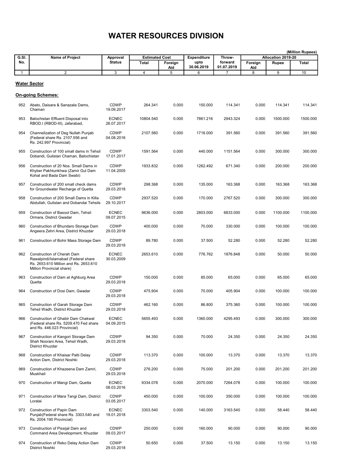| G.SI.        | Name of Project                                                                                                                         | Approval                   | <b>Estimated Cost</b> |          | <b>Expenditure</b> | Throw-          |          | Allocation 2019-20 | (Million Rupees) |
|--------------|-----------------------------------------------------------------------------------------------------------------------------------------|----------------------------|-----------------------|----------|--------------------|-----------------|----------|--------------------|------------------|
| No.          |                                                                                                                                         | <b>Status</b>              | Total                 | Foreign  | upto               | forward         | Foreign  | Rupee              | <b>Total</b>     |
| $\mathbf{1}$ | $\overline{2}$                                                                                                                          | 3                          | 4                     | Aid<br>5 | 30.06.2019<br>6    | 01.07.2019<br>7 | Aid<br>8 | 9                  | 10               |
|              |                                                                                                                                         |                            |                       |          |                    |                 |          |                    |                  |
|              | Water Sector                                                                                                                            |                            |                       |          |                    |                 |          |                    |                  |
|              | <b>On-going Schemes:</b>                                                                                                                |                            |                       |          |                    |                 |          |                    |                  |
| 952          | Abato, Daisara & Sanazala Dams,<br>Chaman                                                                                               | CDWP<br>19.09.2017         | 264.341               | 0.000    | 150.000            | 114.341         | 0.000    | 114.341            | 114.341          |
| 953          | Balochistan Effluent Disposal into<br>RBOD.I (RBOD-III), Jafarabad,                                                                     | <b>ECNEC</b><br>26.07.2017 | 10804.540             | 0.000    | 7861.216           | 2943.324        | 0.000    | 1500.000           | 1500.000         |
| 954          | Channelization of Deg Nullah Punjab<br>(Federal share Rs. 2107.556 and<br>Rs. 242.997 Provincial)                                       | <b>CDWP</b><br>04.08.2016  | 2107.560              | 0.000    | 1716.000           | 391.560         | 0.000    | 391.560            | 391.560          |
| 955          | Construction of 100 small dams in Tehsil<br>Dobandi, Gulistan Chaman, Balochistan                                                       | <b>CDWP</b><br>17.01.2017  | 1591.564              | 0.000    | 440.000            | 1151.564        | 0.000    | 300.000            | 300.000          |
| 956          | Construction of 20 Nos. Small Dams in<br>Khyber Pakhtunkhwa (Zamir Gul Dam<br>Kohat and Bada Dam Swabi)                                 | <b>CDWP</b><br>11.04.2005  | 1933.832              | 0.000    | 1262.492           | 671.340         | 0.000    | 200.000            | 200.000          |
| 957          | Construction of 200 small check dams<br>for Groundwater Recharge of Quetta                                                              | <b>CDWP</b><br>29.03.2018  | 298.368               | 0.000    | 135.000            | 163.368         | 0.000    | 163.368            | 163.368          |
| 958          | Construction of 200 Small Dams in Killa<br>Abdullah, Gulistan and Dobandai Tehsils                                                      | <b>CDWP</b><br>29.10.2017  | 2937.520              | 0.000    | 170.000            | 2767.520        | 0.000    | 300.000            | 300.000          |
| 959          | Construction of Basool Dam, Tehsil<br>Ormara, District Gwadar                                                                           | <b>ECNEC</b><br>09.07.2015 | 9636.000              | 0.000    | 2803.000           | 6833.000        | 0.000    | 1100.000           | 1100.000         |
| 960          | Construction of Bhundaro Storage Dam<br>Angeera Zehri Area, District Khuzdar                                                            | <b>CDWP</b><br>29.03.2018  | 400.000               | 0.000    | 70.000             | 330.000         | 0.000    | 100.000            | 100.000          |
| 961          | Construction of Bohir Mass Storage Dam                                                                                                  | <b>CDWP</b><br>29.03.2018  | 89.780                | 0.000    | 37.500             | 52.280          | 0.000    | 52.280             | 52.280           |
| 962          | Construction of Cherah Dam<br>Rawalpindi/Islamabad (Federal share<br>Rs. 2653.610 Million and Rs. 2653.610<br>Million Provincial share) | <b>ECNEC</b><br>30.03.2009 | 2653.610              | 0.000    | 776.762            | 1876.848        | 0.000    | 50.000             | 50.000           |
| 963          | Construction of Dam at Aghburg Area<br>Quetta                                                                                           | <b>CDWP</b><br>29.03.2018  | 150.000               | 0.000    | 85.000             | 65.000          | 0.000    | 65.000             | 65.000           |
| 964          | Construction of Dosi Dam, Gwadar                                                                                                        | <b>CDWP</b><br>29.03.2018  | 475.904               | 0.000    | 70.000             | 405.904         | 0.000    | 100.000            | 100.000          |
| 965          | Construction of Garah Storage Dam<br>Tehsil Wadh, District Khuzdar                                                                      | CDWP<br>29.03.2018         | 462.160               | 0.000    | 86.800             | 375.360         | 0.000    | 100.000            | 100.000          |
| 966          | <b>Construction of Ghabir Dam Chakwal</b><br>(Federal share Rs. 5209.470 Fed share<br>and Rs. 446.023 Provincial)                       | <b>ECNEC</b><br>04.09.2015 | 5655.493              | 0.000    | 1360.000           | 4295.493        | 0.000    | 300.000            | 300.000          |
| 967          | Construction of Kangori Storage Dam<br>Shah Noorani Area, Tehsil Wadh,<br>District Khuzdar                                              | <b>CDWP</b><br>29.03.2018  | 94.350                | 0.000    | 70.000             | 24.350          | 0.000    | 24.350             | 24.350           |
| 968          | Construction of Khaisar Patti Delay<br>Action Dam, District Noshki                                                                      | <b>CDWP</b><br>29.03.2018  | 113.370               | 0.000    | 100.000            | 13.370          | 0.000    | 13.370             | 13.370           |
| 969          | Construction of Khazeena Dam Zamri,<br>Muskhail                                                                                         | <b>CDWP</b><br>29.03.2018  | 276.200               | 0.000    | 75.000             | 201.200         | 0.000    | 201.200            | 201.200          |
| 970          | Construction of Mangi Dam, Quetta                                                                                                       | <b>ECNEC</b><br>08.03.2016 | 9334.078              | 0.000    | 2070.000           | 7264.078        | 0.000    | 100.000            | 100.000          |
| 971          | Construction of Mara Tangi Dam, District<br>Loralai                                                                                     | <b>CDWP</b><br>03.05.2017  | 450.000               | 0.000    | 100.000            | 350.000         | 0.000    | 100.000            | 100.000          |
| 972          | Construction of Papin Dam<br>Punjab(Federal share Rs. 3303.540 and<br>Rs. 2004.190 Provincial)                                          | <b>ECNEC</b><br>19.01.2018 | 3303.540              | 0.000    | 140.000            | 3163.540        | 0.000    | 58.440             | 58.440           |
| 973          | Construction of Pissijal Dam and<br>Command Area Development, Khuzdar                                                                   | <b>CDWP</b><br>09.03.2017  | 250.000               | 0.000    | 160.000            | 90.000          | 0.000    | 90.000             | 90.000           |
| 974          | Construction of Reko Delay Action Dam<br>District Noshki                                                                                | <b>CDWP</b><br>29.03.2018  | 50.650                | 0.000    | 37.500             | 13.150          | 0.000    | 13.150             | 13.150           |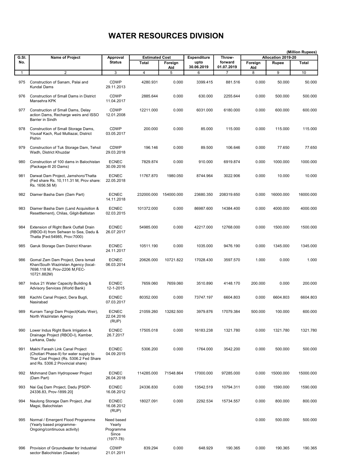| G.SI. | <b>Name of Project</b>                                                                                                                                    | Approval                                                  | <b>Estimated Cost</b> |            | <b>Expenditure</b> | Throw-          |          | Allocation 2019-20 | (Million Rupees) |
|-------|-----------------------------------------------------------------------------------------------------------------------------------------------------------|-----------------------------------------------------------|-----------------------|------------|--------------------|-----------------|----------|--------------------|------------------|
| No.   |                                                                                                                                                           | <b>Status</b>                                             | Total                 | Foreign    | upto               | forward         | Foreign  | Rupee              | <b>Total</b>     |
| 1     | 2                                                                                                                                                         | 3                                                         | 4                     | Aid<br>5   | 30.06.2019<br>6    | 01.07.2019<br>7 | Aid<br>8 | 9                  | 10               |
| 975   | Construction of Sanam, Palai and<br><b>Kundal Dams</b>                                                                                                    | <b>CDWP</b><br>29.11.2013                                 | 4280.931              | 0.000      | 3399.415           | 881.516         | 0.000    | 50.000             | 50.000           |
| 976   | <b>Construction of Small Dams in District</b><br>Mansehra KPK                                                                                             | <b>CDWP</b><br>11.04.2017                                 | 2885.644              | 0.000      | 630.000            | 2255.644        | 0.000    | 500.000            | 500.000          |
| 977   | Construction of Small Dams, Delay<br>action Dams, Recharge weirs and ISSO<br>Barrier in Sindh                                                             | <b>CDWP</b><br>12.01.2008                                 | 12211.000             | 0.000      | 6031.000           | 6180.000        | 0.000    | 600.000            | 600.000          |
| 978   | Construction of Small Storage Dams,<br>Yousaf Kach, Rud Mulliazai, District<br>Pishin                                                                     | <b>CDWP</b><br>03.05.2017                                 | 200.000               | 0.000      | 85.000             | 115.000         | 0.000    | 115.000            | 115.000          |
| 979   | Construction of Tuk Storage Dam, Tehsil<br>Wadh, District Khuzdar                                                                                         | <b>CDWP</b><br>29.03.2018                                 | 196.146               | 0.000      | 89.500             | 106.646         | 0.000    | 77.650             | 77.650           |
| 980   | Construction of 100 dams in Balochistan<br>(Package-III 20 Dams)                                                                                          | <b>ECNEC</b><br>30.09.2016                                | 7829.874              | 0.000      | 910.000            | 6919.874        | 0.000    | 1000.000           | 1000.000         |
| 981   | Darwat Dam Project, Jamshoro/Thatta<br>(Fed share Rs. 10,111.31 M, Prov share:<br>Rs. 1656.56 M)                                                          | <b>ECNEC</b><br>22.05.2018                                | 11767.870             | 1980.050   | 8744.964           | 3022.906        | 0.000    | 10.000             | 10.000           |
| 982   | Diamer Basha Dam (Dam Part)                                                                                                                               | <b>ECNEC</b><br>14.11.2018                                | 232000.000            | 154000.000 | 23680.350          | 208319.650      | 0.000    | 16000.000          | 16000.000        |
| 983   | Diamer Basha Dam (Land Acquisition &<br>Resettlement), Chilas, Gilgit-Baltistan                                                                           | <b>ECNEC</b><br>02.03.2015                                | 101372.000            | 0.000      | 86987.600          | 14384.400       | 0.000    | 4000.000           | 4000.000         |
| 984   | Extension of Right Bank Outfall Drain<br>(RBOD-II) from Sehwan to Sea, Dadu &<br>Thatta [Fed:54985, Prov:7000)                                            | <b>ECNEC</b><br>26.07.2017                                | 54985.000             | 0.000      | 42217.000          | 12768.000       | 0.000    | 1500.000           | 1500.000         |
| 985   | Garuk Storage Dam District Kharan                                                                                                                         | <b>ECNEC</b><br>24.11.2017                                | 10511.190             | 0.000      | 1035.000           | 9476.190        | 0.000    | 1345.000           | 1345.000         |
| 986   | Gomal Zam Dam Project, Dera Ismail<br>Khan/South Waziristan Agency (local-<br>7698.118 M, Prov-2206 M,FEC-<br>10721.882M)                                 | <b>ECNEC</b><br>06.03.2014                                | 20626.000             | 10721.822  | 17028.430          | 3597.570        | 1.000    | 0.000              | 1.000            |
| 987   | Indus 21 Water Capacity Building &<br>Advisory Services (World Bank)                                                                                      | <b>ECNEC</b><br>12-1-2015                                 | 7659.060              | 7659.060   | 3510.890           | 4148.170        | 200.000  | 0.000              | 200.000          |
| 988   | Kachhi Canal Project, Dera Bugti,<br>Nasirabad                                                                                                            | <b>ECNEC</b><br>07.03.2017                                | 80352.000             | 0.000      | 73747.197          | 6604.803        | 0.000    | 6604.803           | 6604.803         |
| 989   | Kurram Tangi Dam Project(Kaitu Weir),<br>North Waziristan Agency                                                                                          | <b>ECNEC</b><br>22.04.2016<br>(RUP)                       | 21059.260             | 13282.500  | 3979.876           | 17079.384       | 500.000  | 100.000            | 600.000          |
| 990   | Lower Indus Right Bank Irrigation &<br>Drainage Project (RBOD-I), Kamber,<br>Larkana, Dadu                                                                | <b>ECNEC</b><br>26.7.2017                                 | 17505.018             | 0.000      | 16183.238          | 1321.780        | 0.000    | 1321.780           | 1321.780         |
| 991   | Makhi Farash Link Canal Project<br>(Chotiari Phase-II) for water supply to<br>Thar Coal Project (Rs. 5306.2 Fed Share<br>and Rs. 5306.2 Provincial share) | <b>ECNEC</b><br>04.09.2015                                | 5306.200              | 0.000      | 1764.000           | 3542.200        | 0.000    | 500.000            | 500.000          |
| 992   | Mohmand Dam Hydropower Project<br>(Dam Part)                                                                                                              | <b>ECNEC</b><br>26.04.2018                                | 114285.000            | 71548.864  | 17000.000          | 97285.000       | 0.000    | 15000.000          | 15000.000        |
| 993   | Nai Gaj Dam Project, Dadu [PSDP-<br>24336.83, Prov-1899.20]                                                                                               | <b>ECNEC</b><br>16.08.2012                                | 24336.830             | 0.000      | 13542.519          | 10794.311       | 0.000    | 1590.000           | 1590.000         |
| 994   | Naulong Storage Dam Project, Jhal<br>Magsi, Balochistan                                                                                                   | <b>ECNEC</b><br>16.08.2012<br>(RUP)                       | 18027.091             | 0.000      | 2292.534           | 15734.557       | 0.000    | 800.000            | 800.000          |
| 995   | Normal / Emergent Flood Programme<br>(Yearly based programme-<br>Ongoing/continuous activity)                                                             | Need based<br>Yearly<br>Programme<br>Since<br>$(1977-78)$ |                       |            |                    |                 | 0.000    | 500.000            | 500.000          |
| 996   | Provision of Groundwater for Industrial<br>sector Balochistan (Gwadar)                                                                                    | <b>CDWP</b><br>21.01.2011                                 | 839.294               | 0.000      | 648.929            | 190.365         | 0.000    | 190.365            | 190.365          |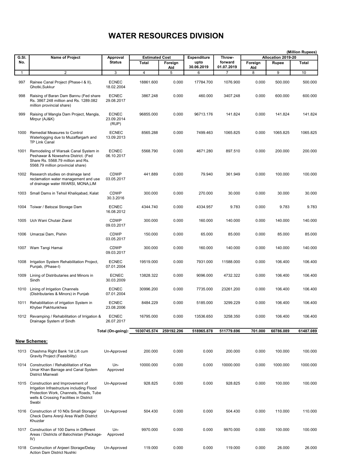| G.SI. | Name of Project                                                                                                                                                                 |                                     | <b>Estimated Cost</b> |            | <b>Expenditure</b> | Throw-          |          | Allocation 2019-20 | (Million Rupees) |
|-------|---------------------------------------------------------------------------------------------------------------------------------------------------------------------------------|-------------------------------------|-----------------------|------------|--------------------|-----------------|----------|--------------------|------------------|
| No.   |                                                                                                                                                                                 | Approval<br><b>Status</b>           | Total                 | Foreign    | upto               | forward         | Foreign  | Rupee              | <b>Total</b>     |
| 1     | 2                                                                                                                                                                               | 3                                   | 4                     | Aid<br>5   | 30.06.2019<br>6    | 01.07.2019<br>7 | Aid<br>8 | 9                  | 10               |
| 997   | Rainee Canal Project (Phase-I & II),<br>Ghotki.Sukkur                                                                                                                           | <b>ECNEC</b><br>18.02.2004          | 18861.600             | 0.000      | 17784.700          | 1076.900        | 0.000    | 500.000            | 500.000          |
| 998   | Raising of Baran Dam Bannu (Fed share<br>Rs. 3867.248 million and Rs. 1289.082<br>million provincial share)                                                                     | <b>ECNEC</b><br>29.08.2017          | 3867.248              | 0.000      | 460.000            | 3407.248        | 0.000    | 600.000            | 600.000          |
| 999   | Raising of Mangla Dam Project, Mangla,<br>Mirpur (AJ&K)                                                                                                                         | <b>ECNEC</b><br>23.09.2014<br>(RUP) | 96855.000             | 0.000      | 96713.176          | 141.824         | 0.000    | 141.824            | 141.824          |
| 1000  | <b>Remedial Measures to Control</b><br>Waterlogging due to Muzaffargarh and<br><b>TP Link Canal</b>                                                                             | <b>ECNEC</b><br>13.09.2013          | 8565.288              | 0.000      | 7499.463           | 1065.825        | 0.000    | 1065.825           | 1065.825         |
| 1001  | Remodeling of Warsak Canal System in<br>Peshawar & Nowsehra District. (Fed<br>Share Rs. 5568.79 million and Rs.<br>5568.79 million provincial share)                            | <b>ECNEC</b><br>06.10.2017          | 5568.790              | 0.000      | 4671.280           | 897.510         | 0.000    | 200.000            | 200.000          |
|       | 1002 Research studies on drainage land<br>reclamation water management and use<br>of drainage water IWARSI, MONA, LIM                                                           | <b>CDWP</b><br>03.05.2017           | 441.889               | 0.000      | 79.940             | 361.949         | 0.000    | 100.000            | 100.000          |
| 1003  | Small Dams in Tehsil Khaligabad, Kalat                                                                                                                                          | CDWP<br>30.3.2016                   | 300.000               | 0.000      | 270.000            | 30.000          | 0.000    | 30.000             | 30.000           |
| 1004  | Toiwar / Batozai Storage Dam                                                                                                                                                    | <b>ECNEC</b><br>16.08.2012          | 4344.740              | 0.000      | 4334.957           | 9.783           | 0.000    | 9.783              | 9.783            |
| 1005  | Uch Wani Chutair Ziarat                                                                                                                                                         | <b>CDWP</b><br>09.03.2017           | 300.000               | 0.000      | 160.000            | 140.000         | 0.000    | 140.000            | 140.000          |
| 1006  | Umarzai Dam, Pishin                                                                                                                                                             | <b>CDWP</b><br>03.05.2017           | 150.000               | 0.000      | 65.000             | 85.000          | 0.000    | 85.000             | 85.000           |
| 1007  | Wam Tangi Hamai                                                                                                                                                                 | <b>CDWP</b><br>09.03.2017           | 300.000               | 0.000      | 160.000            | 140.000         | 0.000    | 140.000            | 140.000          |
| 1008  | Irrigation System Rehabilitation Project,<br>Punjab, (Phase-I)                                                                                                                  | <b>ECNEC</b><br>07.01.2004          | 19519.000             | 0.000      | 7931.000           | 11588.000       | 0.000    | 106.400            | 106.400          |
| 1009  | Lining of Distributaries and Minors in<br>Sindh                                                                                                                                 | <b>ECNEC</b><br>30.03.2009          | 13828.322             | 0.000      | 9096.000           | 4732.322        | 0.000    | 106.400            | 106.400          |
|       | 1010 Lining of Irrigation Channels<br>(Distributaries & Minors) in Punjab                                                                                                       | <b>ECNEC</b><br>07.01.2004          | 30996.200             | 0.000      | 7735.000           | 23261.200       | 0.000    | 106.400            | 106.400          |
|       | 1011 Rehabilitation of irrigation System in<br>Khyber Pakhtunkhwa                                                                                                               | <b>ECNEC</b><br>23.08.2006          | 8484.229              | 0.000      | 5185.000           | 3299.229        | 0.000    | 106.400            | 106.400          |
|       | 1012 Revamping / Rehabilitation of Irrigation &<br>Drainage System of Sindh                                                                                                     | <b>ECNEC</b><br>26.07.2017          | 16795.000             | 0.000      | 13536.650          | 3258.350        | 0.000    | 106.400            | 106.400          |
|       |                                                                                                                                                                                 | Total (On-going):                   | 1030745.574           | 259192.296 | 518965.878         | 511779.696      | 701.000  | 60786.089          | 61487.089        |
|       | <b>New Schemes:</b>                                                                                                                                                             |                                     |                       |            |                    |                 |          |                    |                  |
|       | 1013 Chashma Right Bank 1st Lift cum<br>Gravity Project (Feasibility)                                                                                                           | Un-Approved                         | 200.000               | 0.000      | 0.000              | 200.000         | 0.000    | 100.000            | 100.000          |
|       | 1014 Construction / Rehabilitation of Kas<br>Umar Khan Barrage and Canal System<br>District Mianwali                                                                            | Un-<br>Approved                     | 10000.000             | 0.000      | 0.000              | 10000.000       | 0.000    | 1000.000           | 1000.000         |
|       | 1015 Construction and Improvement of<br>Irrigation Infrastructure including Flood<br>Protection Work, Channels, Roads, Tube<br>wells & Crossing Facilities in District<br>Swabi | Un-Approved                         | 928.825               | 0.000      | 0.000              | 928.825         | 0.000    | 100.000            | 100.000          |
|       | 1016 Construction of 10 N0s Small Storage/<br>Check Dams Arenji Area Wadh District<br>Khuzdar                                                                                   | Un-Approved                         | 504.430               | 0.000      | 0.000              | 504.430         | 0.000    | 110.000            | 110.000          |
|       | 1017 Construction of 100 Dams in Different<br>Areas / Districts of Balochistan (Package-<br>IV)                                                                                 | Un-<br>Approved                     | 9970.000              | 0.000      | 0.000              | 9970.000        | 0.000    | 100.000            | 100.000          |
|       | 1018 Construction of Anjeeri Storage/Delay<br><b>Action Dam District Nushki</b>                                                                                                 | Un-Approved                         | 119.000               | 0.000      | 0.000              | 119.000         | 0.000    | 26.000             | 26.000           |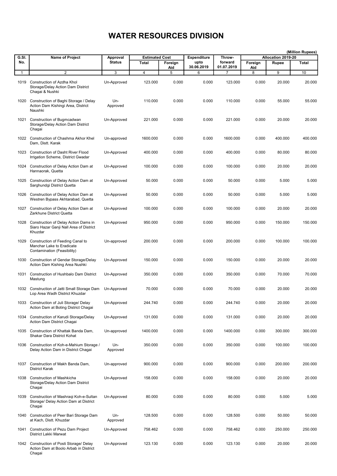|                      |                                                                                              |                           |                                |            |                            |                   |            |                             | (Million Rupees) |
|----------------------|----------------------------------------------------------------------------------------------|---------------------------|--------------------------------|------------|----------------------------|-------------------|------------|-----------------------------|------------------|
| G.SI.<br>No.         | Name of Project                                                                              | Approval<br><b>Status</b> | <b>Estimated Cost</b><br>Total | Foreign    | <b>Expenditure</b><br>upto | Throw-<br>forward | Foreign    | Allocation 2019-20<br>Rupee | <b>Total</b>     |
|                      | $\overline{2}$                                                                               | 3                         | 4                              | Aid        | 30.06.2019<br>6            | 01.07.2019        | Aid        | 9                           | 10               |
| $\mathbf{1}$<br>1019 | Construction of Azdha Khol<br>Storage/Delay Action Dam District<br>Chagai & Nushki           | Un-Approved               | 123.000                        | 5<br>0.000 | 0.000                      | 7<br>123.000      | 8<br>0.000 | 20.000                      | 20.000           |
|                      | 1020 Construction of Baghi Storage / Delay<br>Action Dam Kishingi Area, District<br>Naushki  | Un-<br>Approved           | 110.000                        | 0.000      | 0.000                      | 110.000           | 0.000      | 55.000                      | 55.000           |
| 1021                 | Construction of Bugmcadwan<br>Storage/Delay Action Dam District<br>Chagai                    | Un-Approved               | 221.000                        | 0.000      | 0.000                      | 221.000           | 0.000      | 20.000                      | 20.000           |
| 1022                 | Construction of Chashma Akhor Khel<br>Dam, Distt. Karak                                      | Un-approved               | 1600.000                       | 0.000      | 0.000                      | 1600.000          | 0.000      | 400.000                     | 400.000          |
| 1023                 | <b>Construction of Dasht River Flood</b><br>Irrigation Scheme, District Gwadar               | Un-Approved               | 400.000                        | 0.000      | 0.000                      | 400.000           | 0.000      | 80.000                      | 80.000           |
| 1024                 | Construction of Delay Action Dam at<br>Hannaorak, Quetta                                     | Un-Approved               | 100.000                        | 0.000      | 0.000                      | 100.000           | 0.000      | 20.000                      | 20.000           |
| 1025                 | Construction of Delay Action Dam at<br>Sarghundgi District Quetta                            | Un-Approved               | 50.000                         | 0.000      | 0.000                      | 50.000            | 0.000      | 5.000                       | 5.000            |
| 1026                 | Construction of Delay Action Dam at<br>Westren Bypass Akhtarabad, Quetta                     | Un-Approved               | 50.000                         | 0.000      | 0.000                      | 50.000            | 0.000      | 5.000                       | 5.000            |
| 1027                 | Construction of Delay Action Dam at<br>Zarkhune District Quetta                              | Un-Approved               | 100.000                        | 0.000      | 0.000                      | 100.000           | 0.000      | 20.000                      | 20.000           |
| 1028                 | Construction of Delay Action Dams in<br>Siaro Hazar Ganji Nall Area of District<br>Khuzdar   | Un-Approved               | 950.000                        | 0.000      | 0.000                      | 950.000           | 0.000      | 150.000                     | 150.000          |
| 1029                 | Construction of Feeding Canal to<br>Manchar Lake to Eradicate<br>Contamination (Feasibility) | Un-approved               | 200.000                        | 0.000      | 0.000                      | 200.000           | 0.000      | 100.000                     | 100.000          |
| 1030                 | Construction of Gendar Storage/Delay<br>Action Dam Kishing Area Nushki                       | Un-Approved               | 150.000                        | 0.000      | 0.000                      | 150.000           | 0.000      | 20.000                      | 20.000           |
| 1031                 | Construction of Hushbalo Dam District<br>Mastung                                             | Un-Approved               | 350.000                        | 0.000      | 0.000                      | 350.000           | 0.000      | 70.000                      | 70.000           |
|                      | 1032 Construction of Jatti Small Storage Dam<br>Lop Area Wadh District Khuzdar               | Un-Approved               | 70.000                         | 0.000      | 0.000                      | 70.000            | 0.000      | 20.000                      | 20.000           |
| 1033                 | Construction of Juli Storage/ Delay<br>Action Dam at Boting District Chagai                  | Un-Approved               | 244.740                        | 0.000      | 0.000                      | 244.740           | 0.000      | 20.000                      | 20.000           |
| 1034                 | Construction of Karudi Storage/Delay<br>Action Dam District Chagai                           | Un-Approved               | 131.000                        | 0.000      | 0.000                      | 131.000           | 0.000      | 20.000                      | 20.000           |
|                      | 1035 Construction of Khattak Banda Dam,<br>Shakar Dara District Kohat                        | Un-approved               | 1400.000                       | 0.000      | 0.000                      | 1400.000          | 0.000      | 300.000                     | 300.000          |
|                      | 1036 Construction of Koh-e-Mahium Storage /<br>Delay Action Dam in District Chagai           | Un-<br>Approved           | 350.000                        | 0.000      | 0.000                      | 350.000           | 0.000      | 100.000                     | 100.000          |
| 1037                 | Construction of Makh Banda Dam,<br>District Karak                                            | Un-approved               | 900.000                        | 0.000      | 0.000                      | 900.000           | 0.000      | 200.000                     | 200.000          |
| 1038                 | <b>Construction of Mashkicha</b><br>Storage/Delay Action Dam District<br>Chagai              | Un-Approved               | 158.000                        | 0.000      | 0.000                      | 158.000           | 0.000      | 20.000                      | 20.000           |
| 1039                 | Construction of Mashraqi Koh-e-Sultan<br>Storage/ Delay Action Dam at District<br>Chagai     | Un-Approved               | 80.000                         | 0.000      | 0.000                      | 80.000            | 0.000      | 5.000                       | 5.000            |
| 1040                 | Construction of Peer Bari Storage Dam<br>at Kach, Distt. Khuzdar                             | Un-<br>Approved           | 128.500                        | 0.000      | 0.000                      | 128.500           | 0.000      | 50.000                      | 50.000           |
| 1041                 | Construction of Pezu Dam Project<br>District Lakki Marwat                                    | Un-Approved               | 758.462                        | 0.000      | 0.000                      | 758.462           | 0.000      | 250.000                     | 250.000          |
|                      | 1042 Construction of Posti Storage/ Delay<br>Action Dam at Boolo Arbab in District<br>Chagai | Un-Approved               | 123.130                        | 0.000      | 0.000                      | 123.130           | 0.000      | 20.000                      | 20.000           |